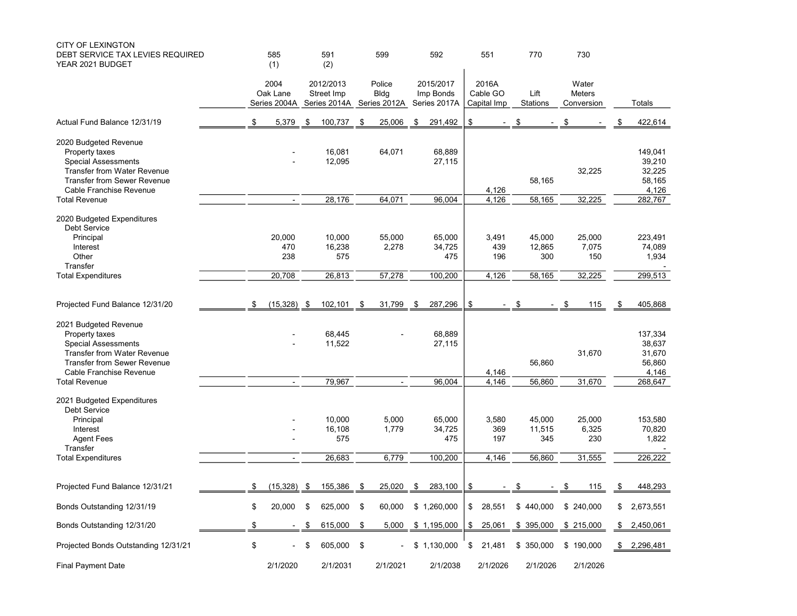| <b>CITY OF LEXINGTON</b><br>DEBT SERVICE TAX LEVIES REQUIRED<br>YEAR 2021 BUDGET                                                                                             | 585<br>(1)                       |           | 591<br>(2)                                           |      | 599                      | 592                                    |               | 551                              |      | 770                     | 730                                  |                                                |
|------------------------------------------------------------------------------------------------------------------------------------------------------------------------------|----------------------------------|-----------|------------------------------------------------------|------|--------------------------|----------------------------------------|---------------|----------------------------------|------|-------------------------|--------------------------------------|------------------------------------------------|
|                                                                                                                                                                              | 2004<br>Oak Lane<br>Series 2004A |           | 2012/2013<br>Street Imp<br>Series 2014A Series 2012A |      | Police<br>Bldg           | 2015/2017<br>Imp Bonds<br>Series 2017A |               | 2016A<br>Cable GO<br>Capital Imp |      | Lift<br>Stations        | Water<br><b>Meters</b><br>Conversion | Totals                                         |
| Actual Fund Balance 12/31/19                                                                                                                                                 | \$<br>5,379                      | \$        | 100,737                                              | \$   | 25,006                   | \$<br>291,492                          | \$            |                                  | \$   |                         | \$                                   | 422,614                                        |
| 2020 Budgeted Revenue<br>Property taxes<br><b>Special Assessments</b><br>Transfer from Water Revenue<br><b>Transfer from Sewer Revenue</b><br>Cable Franchise Revenue        |                                  |           | 16,081<br>12,095                                     |      | 64,071                   | 68,889<br>27,115                       |               | 4,126                            |      | 58,165                  | 32,225                               | 149,041<br>39,210<br>32,225<br>58,165<br>4,126 |
| <b>Total Revenue</b>                                                                                                                                                         |                                  |           | 28,176                                               |      | 64,071                   | 96,004                                 |               | 4,126                            |      | 58,165                  | 32,225                               | 282,767                                        |
| 2020 Budgeted Expenditures<br>Debt Service                                                                                                                                   |                                  |           |                                                      |      |                          |                                        |               |                                  |      |                         |                                      |                                                |
| Principal<br>Interest<br>Other<br>Transfer                                                                                                                                   | 20,000<br>470<br>238             |           | 10,000<br>16,238<br>575                              |      | 55,000<br>2,278          | 65,000<br>34,725<br>475                |               | 3,491<br>439<br>196              |      | 45,000<br>12,865<br>300 | 25,000<br>7,075<br>150               | 223,491<br>74,089<br>1,934                     |
| <b>Total Expenditures</b>                                                                                                                                                    | 20,708                           |           | 26,813                                               |      | 57,278                   | 100,200                                |               | 4,126                            |      | 58,165                  | 32,225                               | 299,513                                        |
| Projected Fund Balance 12/31/20                                                                                                                                              | \$<br>(15, 328)                  | - \$      | 102,101                                              | \$   | 31,799                   | \$<br>287,296                          | \$            |                                  | - \$ |                         | \$<br>115                            | \$<br>405,868                                  |
| 2021 Budgeted Revenue<br>Property taxes<br><b>Special Assessments</b><br><b>Transfer from Water Revenue</b><br><b>Transfer from Sewer Revenue</b><br>Cable Franchise Revenue |                                  |           | 68,445<br>11,522                                     |      |                          | 68,889<br>27,115                       |               | 4,146                            |      | 56,860                  | 31,670                               | 137,334<br>38,637<br>31,670<br>56,860<br>4,146 |
| <b>Total Revenue</b>                                                                                                                                                         | $\blacksquare$                   |           | 79,967                                               |      | $\overline{\phantom{a}}$ | 96,004                                 |               | 4,146                            |      | 56,860                  | 31,670                               | 268,647                                        |
| 2021 Budgeted Expenditures<br><b>Debt Service</b><br>Principal<br>Interest<br><b>Agent Fees</b>                                                                              |                                  |           | 10,000<br>16,108<br>575                              |      | 5,000<br>1,779           | 65,000<br>34,725<br>475                |               | 3,580<br>369<br>197              |      | 45,000<br>11,515<br>345 | 25,000<br>6,325<br>230               | 153,580<br>70,820<br>1,822                     |
| Transfer<br><b>Total Expenditures</b>                                                                                                                                        |                                  |           | 26,683                                               |      | 6,779                    | 100,200                                |               | 4,146                            |      | 56,860                  | 31,555                               | 226,222                                        |
|                                                                                                                                                                              |                                  |           |                                                      |      |                          |                                        |               |                                  |      |                         |                                      |                                                |
| Projected Fund Balance 12/31/21                                                                                                                                              | \$<br>(15, 328)                  | - \$      | 155,386                                              | - \$ | 25,020                   | \$<br>283,100                          | \$            |                                  | \$   |                         | \$<br>115                            | \$<br>448,293                                  |
| Bonds Outstanding 12/31/19                                                                                                                                                   | \$<br>20,000                     | \$        | 625,000                                              | \$   | 60,000                   | \$1,260,000                            | \$            | 28,551                           |      | \$440,000               | \$240,000                            | \$<br>2,673,551                                |
| Bonds Outstanding 12/31/20                                                                                                                                                   | \$<br>$\blacksquare$             | <u>\$</u> | 615,000                                              | \$   | 5,000                    | \$1,195,000                            | $\frac{1}{2}$ | 25,061 \$ 395,000 \$ 215,000     |      |                         |                                      | \$2,450,061                                    |
| Projected Bonds Outstanding 12/31/21                                                                                                                                         | \$<br>$\blacksquare$             | \$        | 605,000 \$                                           |      |                          | \$1,130,000                            | \$            | 21,481                           |      | \$350,000               | \$190,000                            | \$<br>2,296,481                                |
| <b>Final Payment Date</b>                                                                                                                                                    | 2/1/2020                         |           | 2/1/2031                                             |      | 2/1/2021                 | 2/1/2038                               |               | 2/1/2026                         |      | 2/1/2026                | 2/1/2026                             |                                                |